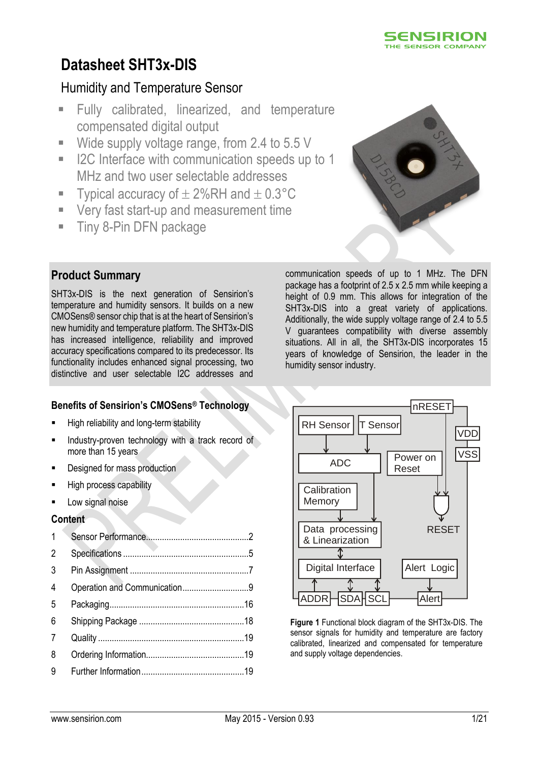

# Humidity and Temperature Sensor

- Fully calibrated, linearized, and temperature compensated digital output
- Wide supply voltage range, from 2.4 to 5.5 V
- I2C Interface with communication speeds up to 1 MHz and two user selectable addresses
- Typical accuracy of  $\pm 2\%$ RH and  $\pm 0.3^{\circ}$ C
- Very fast start-up and measurement time
- **Tiny 8-Pin DFN package**



# **Product Summary**

SHT3x-DIS is the next generation of Sensirion's temperature and humidity sensors. It builds on a new CMOSens® sensor chip that is at the heart of Sensirion's new humidity and temperature platform. The SHT3x-DIS has increased intelligence, reliability and improved accuracy specifications compared to its predecessor. Its functionality includes enhanced signal processing, two distinctive and user selectable I2C addresses and

# **Benefits of Sensirion's CMOSens® Technology**

- **High reliability and long-term stability**
- Industry-proven technology with a track record of more than 15 years
- Designed for mass production
- High process capability
- Low signal noise

## **Content**

| $\mathbf{1}$   |                              |  |
|----------------|------------------------------|--|
| $\overline{2}$ |                              |  |
| 3              |                              |  |
| 4              | Operation and Communication9 |  |
| 5              |                              |  |
| 6              |                              |  |
| 7              |                              |  |
| 8              |                              |  |
| 9              |                              |  |

communication speeds of up to 1 MHz. The DFN package has a footprint of 2.5 x 2.5 mm while keeping a height of 0.9 mm. This allows for integration of the SHT3x-DIS into a great variety of applications. Additionally, the wide supply voltage range of 2.4 to 5.5 V guarantees compatibility with diverse assembly situations. All in all, the SHT3x-DIS incorporates 15 years of knowledge of Sensirion, the leader in the humidity sensor industry.



**Figure 1** Functional block diagram of the SHT3x-DIS. The sensor signals for humidity and temperature are factory calibrated, linearized and compensated for temperature and supply voltage dependencies.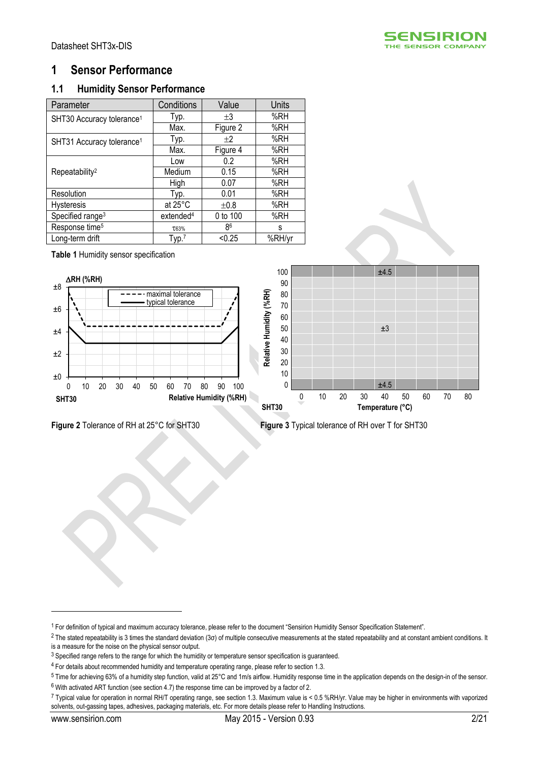

# <span id="page-1-0"></span>**1 Sensor Performance**

# **1.1 Humidity Sensor Performance**

<span id="page-1-3"></span><span id="page-1-1"></span>

| Parameter                             | Conditions            | Value    | <b>Units</b> |
|---------------------------------------|-----------------------|----------|--------------|
| SHT30 Accuracy tolerance <sup>1</sup> | Typ.                  | $+3$     | %RH          |
|                                       | Max.                  | Figure 2 | %RH          |
| SHT31 Accuracy tolerance <sup>1</sup> | Typ.                  | $+2$     | %RH          |
|                                       | Max.                  | Figure 4 | %RH          |
|                                       | Low                   | 0.2      | %RH          |
| Repeatability <sup>2</sup>            | Medium                | 0.15     | %RH          |
|                                       | High                  | 0.07     | %RH          |
| Resolution                            | Typ.                  | 0.01     | %RH          |
| <b>Hysteresis</b>                     | at 25°C               | ±0.8     | %RH          |
| Specified range <sup>3</sup>          | extended <sup>4</sup> | 0 to 100 | %RH          |
| Response time <sup>5</sup>            | T63%                  | 86       | s            |
| Long-term drift                       | Type.7                | < 0.25   | %RH/yr       |

**Table 1** Humidity sensor specification



<span id="page-1-2"></span>**Figure 2** Tolerance of RH at 25°C for SHT30 **Figure 3** Typical tolerance of RH over T for SHT30

<u>.</u>

<sup>1</sup> For definition of typical and maximum accuracy tolerance, please refer to the document "Sensirion Humidity Sensor Specification Statement".

<sup>&</sup>lt;sup>2</sup> The stated repeatability is 3 times the standard deviation (3σ) of multiple consecutive measurements at the stated repeatability and at constant ambient conditions. It is a measure for the noise on the physical sensor output.

<sup>&</sup>lt;sup>3</sup> Specified range refers to the range for which the humidity or temperature sensor specification is guaranteed.

<sup>4</sup> For details about recommended humidity and temperature operating range, please refer to section [1.3.](#page-3-0)

<sup>5</sup> Time for achieving 63% of a humidity step function, valid at 25°C and 1m/s airflow. Humidity response time in the application depends on the design-in of the sensor. <sup>6</sup> With activated ART function (see sectio[n 4.7\)](#page-10-0) the response time can be improved by a factor of 2.

<sup>7</sup> Typical value for operation in normal RH/T operating range, see sectio[n 1.3.](#page-3-0) Maximum value is < 0.5 %RH/yr. Value may be higher in environments with vaporized solvents, out-gassing tapes, adhesives, packaging materials, etc. For more details please refer to Handling Instructions.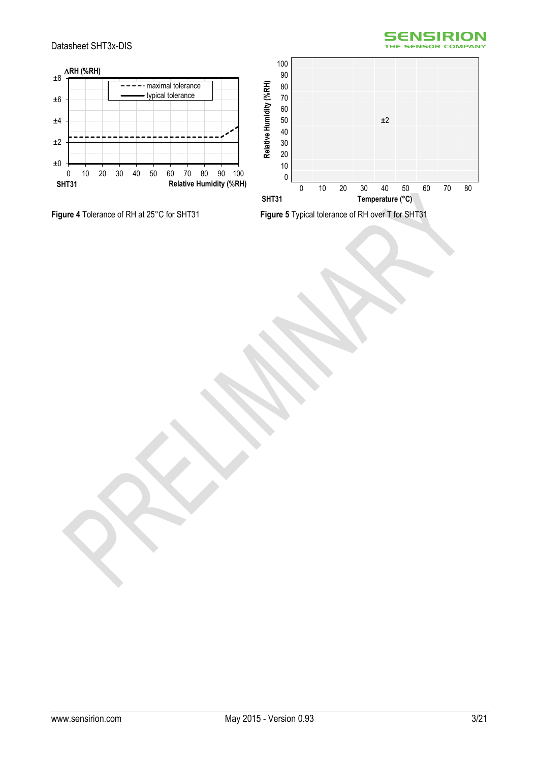





<span id="page-2-0"></span>**Figure 4** Tolerance of RH at 25°C for SHT31 **Figure 5** Typical tolerance of RH over T for SHT31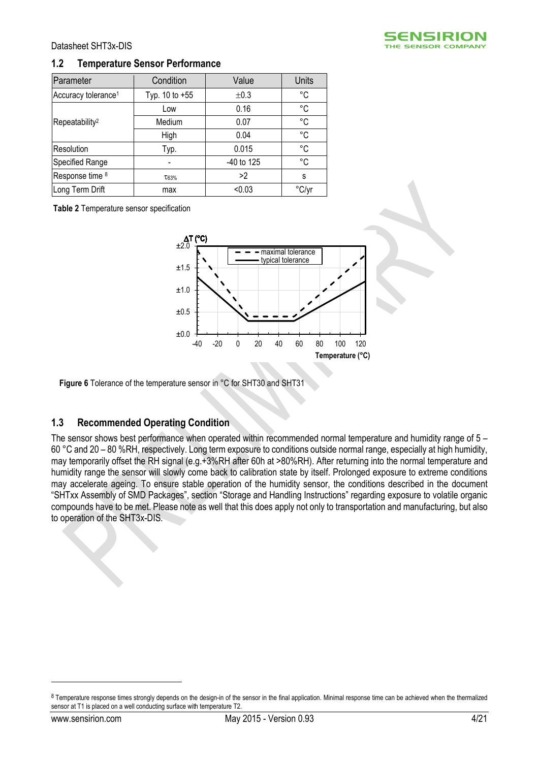

#### **1.2 Temperature Sensor Performance**

| Parameter                       | Condition      | Value      | Units       |
|---------------------------------|----------------|------------|-------------|
| Accuracy tolerance <sup>1</sup> | Typ. 10 to +55 | ±0.3       | $^{\circ}C$ |
|                                 | Low            | 0.16       | $^{\circ}C$ |
| Repeatability <sup>2</sup>      | Medium         | 0.07       | °C          |
|                                 | High           | 0.04       | °C          |
| Resolution                      | Typ.           | 0.015      | °C          |
| Specified Range                 |                | -40 to 125 | °C          |
| Response time 8                 | T63%           | >2         | S           |
| Long Term Drift                 | max            | < 0.03     |             |

**Table 2** Temperature sensor specification



**Figure 6** Tolerance of the temperature sensor in °C for SHT30 and SHT31

#### <span id="page-3-0"></span>**1.3 Recommended Operating Condition**

The sensor shows best performance when operated within recommended normal temperature and humidity range of 5 – 60 °C and 20 – 80 %RH, respectively. Long term exposure to conditions outside normal range, especially at high humidity, may temporarily offset the RH signal (e.g.+3%RH after 60h at >80%RH). After returning into the normal temperature and humidity range the sensor will slowly come back to calibration state by itself. Prolonged exposure to extreme conditions may accelerate ageing. To ensure stable operation of the humidity sensor, the conditions described in the document "SHTxx Assembly of SMD Packages", section "Storage and Handling Instructions" regarding exposure to volatile organic compounds have to be met. Please note as well that this does apply not only to transportation and manufacturing, but also to operation of the SHT3x-DIS.

<u>.</u>

<sup>8</sup> Temperature response times strongly depends on the design-in of the sensor in the final application. Minimal response time can be achieved when the thermalized sensor at T1 is placed on a well conducting surface with temperature T2.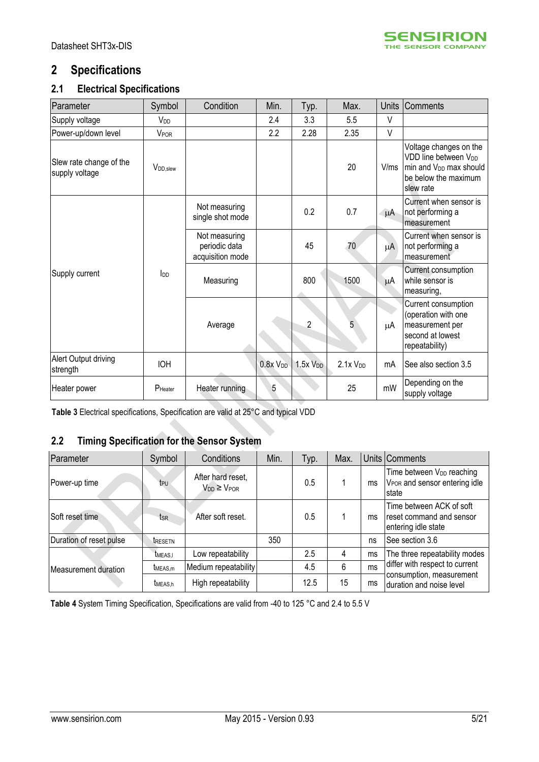

# <span id="page-4-0"></span>**2 Specifications**

# **2.1 Electrical Specifications**

| Parameter                                 | Symbol                 | Condition                                          | Min.            | Typ.         | Max.            | <b>Units</b> | Comments                                                                                                                              |
|-------------------------------------------|------------------------|----------------------------------------------------|-----------------|--------------|-----------------|--------------|---------------------------------------------------------------------------------------------------------------------------------------|
| Supply voltage                            | <b>V<sub>DD</sub></b>  |                                                    | 2.4             | 3.3          | 5.5             | V            |                                                                                                                                       |
| Power-up/down level                       | V <sub>POR</sub>       |                                                    | 2.2             | 2.28         | 2.35            | V            |                                                                                                                                       |
| Slew rate change of the<br>supply voltage | V <sub>DD</sub> , slew |                                                    |                 |              | 20              | V/ms         | Voltage changes on the<br>VDD line between V <sub>DD</sub><br>min and V <sub>DD</sub> max should<br>be below the maximum<br>slew rate |
|                                           |                        | Not measuring<br>single shot mode                  |                 | 0.2          | 0.7             | μA           | Current when sensor is<br>not performing a<br>measurement                                                                             |
|                                           | $I_{DD}$               | Not measuring<br>periodic data<br>acquisition mode |                 | 45           | 70              | μA           | Current when sensor is<br>not performing a<br>measurement                                                                             |
| Supply current                            |                        | Measuring                                          |                 | 800          | 1500            | $\mu$ A      | Current consumption<br>while sensor is<br>measuring,                                                                                  |
|                                           |                        | Average                                            |                 | 2            | $\overline{5}$  | μA           | Current consumption<br>(operation with one<br>measurement per<br>second at lowest<br>repeatability)                                   |
| Alert Output driving<br>strength          | <b>IOH</b>             |                                                    | $0.8x$ $V_{DD}$ | $1.5x$ $VDD$ | $2.1x$ $V_{DD}$ | mA           | See also section 3.5                                                                                                                  |
| Heater power                              | PHeater                | Heater running                                     | 5               |              | 25              | mW           | Depending on the<br>supply voltage                                                                                                    |

<span id="page-4-1"></span>**Table 3** Electrical specifications, Specification are valid at 25°C and typical VDD

# <span id="page-4-2"></span>**2.2 Timing Specification for the Sensor System**

| Parameter               | Symbol              | Conditions                                 | Min. | Typ. | Max. |    | Units Comments                                                                               |
|-------------------------|---------------------|--------------------------------------------|------|------|------|----|----------------------------------------------------------------------------------------------|
| Power-up time           | t <sub>PU</sub>     | After hard reset,<br>$V_{DD} \geq V_{POR}$ |      | 0.5  |      | ms | Time between V <sub>DD</sub> reaching<br>V <sub>POR</sub> and sensor entering idle<br>Istate |
| Soft reset time         | tsr                 | After soft reset.                          |      | 0.5  |      | ms | Time between ACK of soft<br>reset command and sensor<br>entering idle state                  |
| Duration of reset pulse | tresetn             |                                            | 350  |      |      | ns | See section 3.6                                                                              |
|                         | <b>TMEAS.I</b>      | Low repeatability                          |      | 2.5  | 4    | ms | The three repeatability modes                                                                |
| Measurement duration    | t <sub>MEAS,m</sub> | Medium repeatability                       |      | 4.5  | 6    | ms | differ with respect to current                                                               |
|                         | t <sub>MEAS.h</sub> | High repeatability                         |      | 12.5 | 15   | ms | consumption, measurement<br>duration and noise level                                         |

<span id="page-4-3"></span>**Table 4** System Timing Specification, Specifications are valid from -40 to 125 °C and 2.4 to 5.5 V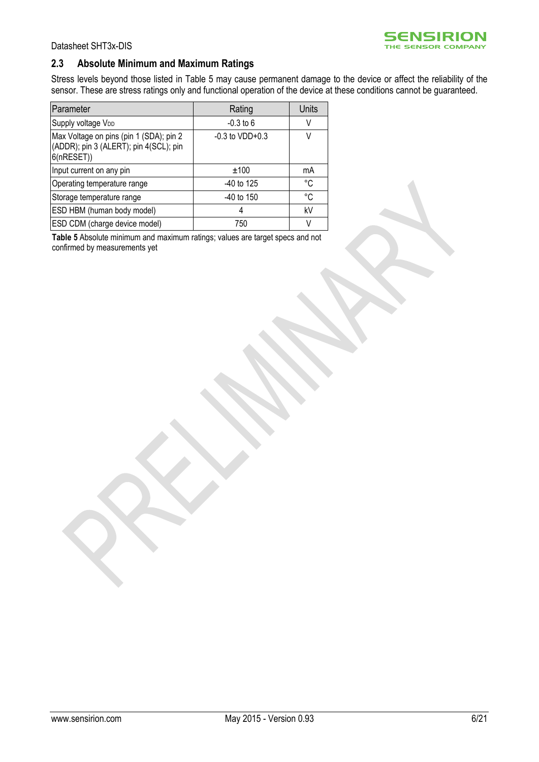

#### **2.3 Absolute Minimum and Maximum Ratings**

Stress levels beyond those listed in [Table 5](#page-5-0) may cause permanent damage to the device or affect the reliability of the sensor. These are stress ratings only and functional operation of the device at these conditions cannot be guaranteed.

| Parameter                                                                                      | Rating               | <b>Units</b> |
|------------------------------------------------------------------------------------------------|----------------------|--------------|
| Supply voltage V <sub>DD</sub>                                                                 | $-0.3$ to 6          | V            |
| Max Voltage on pins (pin 1 (SDA); pin 2<br>(ADDR); pin 3 (ALERT); pin 4(SCL); pin<br>6(nRESET) | $-0.3$ to VDD $+0.3$ | V            |
| Input current on any pin                                                                       | ±100                 | mA           |
| Operating temperature range                                                                    | $-40$ to 125         | °C           |
| Storage temperature range                                                                      | -40 to 150           | °C           |
| ESD HBM (human body model)                                                                     |                      | kV           |
| <b>ESD CDM</b> (charge device model)                                                           | 750                  | V            |

<span id="page-5-0"></span>**Table 5** Absolute minimum and maximum ratings; values are target specs and not confirmed by measurements yet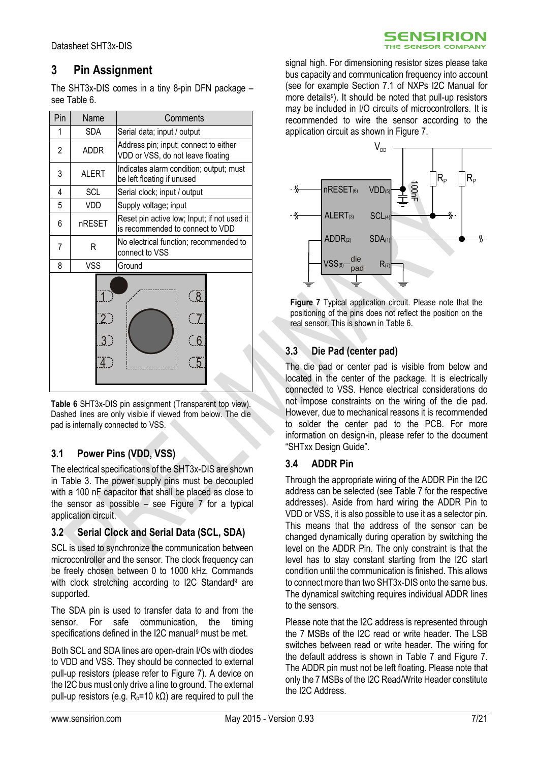# <span id="page-6-0"></span>**3 Pin Assignment**

The SHT3x-DIS comes in a tiny 8-pin DFN package – see [Table 6.](#page-6-1)

| Pin                                             | Name                                      | Comments                                                                   |  |  |
|-------------------------------------------------|-------------------------------------------|----------------------------------------------------------------------------|--|--|
| <b>SDA</b><br>1                                 |                                           | Serial data; input / output                                                |  |  |
| 2<br><b>ADDR</b>                                |                                           | Address pin; input; connect to either<br>VDD or VSS, do not leave floating |  |  |
| 3                                               | <b>ALERT</b>                              | Indicates alarm condition; output; must<br>be left floating if unused      |  |  |
| 4                                               | SCL                                       | Serial clock; input / output                                               |  |  |
| 5                                               | VDD                                       | Supply voltage; input                                                      |  |  |
| nRESET<br>6<br>is recommended to connect to VDD |                                           | Reset pin active low; Input; if not used it                                |  |  |
| 7                                               | R                                         | No electrical function; recommended to<br>connect to VSS                   |  |  |
| 8                                               | <b>VSS</b>                                | Ground                                                                     |  |  |
|                                                 | $\overline{2}$ )<br>$\overline{3}$ )<br>4 | <u>( 8 </u><br>6                                                           |  |  |

<span id="page-6-1"></span>**Table 6** SHT3x-DIS pin assignment (Transparent top view). Dashed lines are only visible if viewed from below. The die pad is internally connected to VSS.

# **3.1 Power Pins (VDD, VSS)**

The electrical specifications of the SHT3x-DIS are shown in [Table 3.](#page-4-1) The power supply pins must be decoupled with a 100 nF capacitor that shall be placed as close to the sensor as possible – see [Figure 7](#page-6-2) for a typical application circuit.

## **3.2 Serial Clock and Serial Data (SCL, SDA)**

SCL is used to synchronize the communication between microcontroller and the sensor. The clock frequency can be freely chosen between 0 to 1000 kHz. Commands with clock stretching according to I2C Standard<sup>[9](#page-8-1)</sup> are supported.

The SDA pin is used to transfer data to and from the sensor. For safe communication, the timing specifications defined in the I2C manu[al](#page-8-1)<sup>9</sup> must be met.

Both SCL and SDA lines are open-drain I/Os with diodes to VDD and VSS. They should be connected to external pull-up resistors (please refer to [Figure 7\)](#page-6-2). A device on the I2C bus must only drive a line to ground. The external pull-up resistors (e.g.  $R_p = 10 \text{ k}\Omega$ ) are required to pull the

signal high. For dimensioning resistor sizes please take bus capacity and communication frequency into account (see for example Section 7.1 of NXPs I2C Manual for more detail[s](#page-8-1)<sup>9</sup>). It should be noted that pull-up resistors may be included in I/O circuits of microcontrollers. It is recommended to wire the sensor according to the application circuit as shown in [Figure 7.](#page-6-2)

SENSIRION THE SENSOR COMPANY



<span id="page-6-2"></span>**Figure 7** Typical application circuit. Please note that the positioning of the pins does not reflect the position on the real sensor. This is shown i[n Table 6.](#page-6-1)

# **3.3 Die Pad (center pad)**

The die pad or center pad is visible from below and located in the center of the package. It is electrically connected to VSS. Hence electrical considerations do not impose constraints on the wiring of the die pad. However, due to mechanical reasons it is recommended to solder the center pad to the PCB. For more information on design-in, please refer to the document "SHTxx Design Guide".

## **3.4 ADDR Pin**

Through the appropriate wiring of the ADDR Pin the I2C address can be selected (see [Table 7](#page-7-2) for the respective addresses). Aside from hard wiring the ADDR Pin to VDD or VSS, it is also possible to use it as a selector pin. This means that the address of the sensor can be changed dynamically during operation by switching the level on the ADDR Pin. The only constraint is that the level has to stay constant starting from the I2C start condition until the communication is finished. This allows to connect more than two SHT3x-DIS onto the same bus. The dynamical switching requires individual ADDR lines to the sensors.

Please note that the I2C address is represented through the 7 MSBs of the I2C read or write header. The LSB switches between read or write header. The wiring for the default address is shown in [Table 7](#page-7-2) and [Figure 7.](#page-6-2) The ADDR pin must not be left floating. Please note that only the 7 MSBs of the I2C Read/Write Header constitute the I2C Address.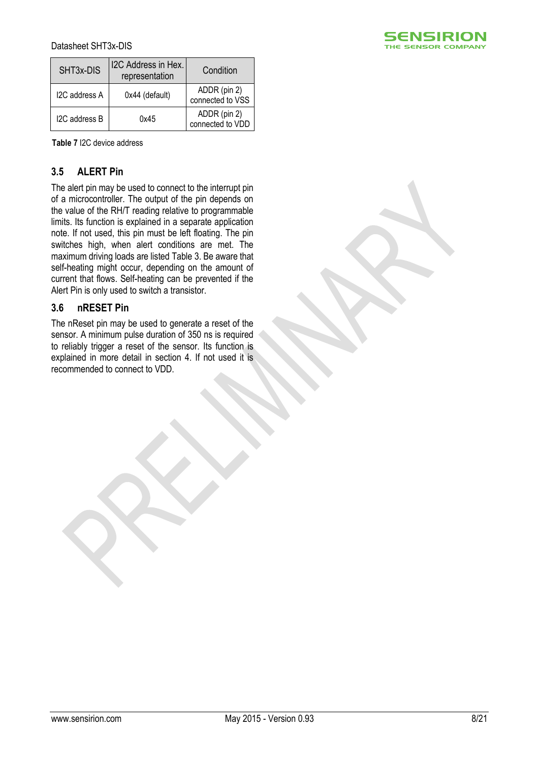| SHT <sub>3x</sub> -DIS | I2C Address in Hex.<br>representation | Condition                        |
|------------------------|---------------------------------------|----------------------------------|
| I2C address A          | 0x44 (default)                        | ADDR (pin 2)<br>connected to VSS |
| I2C address B          | 0x45                                  | ADDR (pin 2)<br>connected to VDD |

<span id="page-7-2"></span>**Table 7** I2C device address

# <span id="page-7-0"></span>**3.5 ALERT Pin**

The alert pin may be used to connect to the interrupt pin of a microcontroller. The output of the pin depends on the value of the RH/T reading relative to programmable limits. Its function is explained in a separate application note. If not used, this pin must be left floating. The pin switches high, when alert conditions are met. The maximum driving loads are listed [Table 3.](#page-4-1) Be aware that self-heating might occur, depending on the amount of current that flows. Self-heating can be prevented if the Alert Pin is only used to switch a transistor.

#### <span id="page-7-1"></span>**3.6 nRESET Pin**

The nReset pin may be used to generate a reset of the sensor. A minimum pulse duration of 350 ns is required to reliably trigger a reset of the sensor. Its function is explained in more detail in section [4.](#page-8-0) If not used it is recommended to connect to VDD.

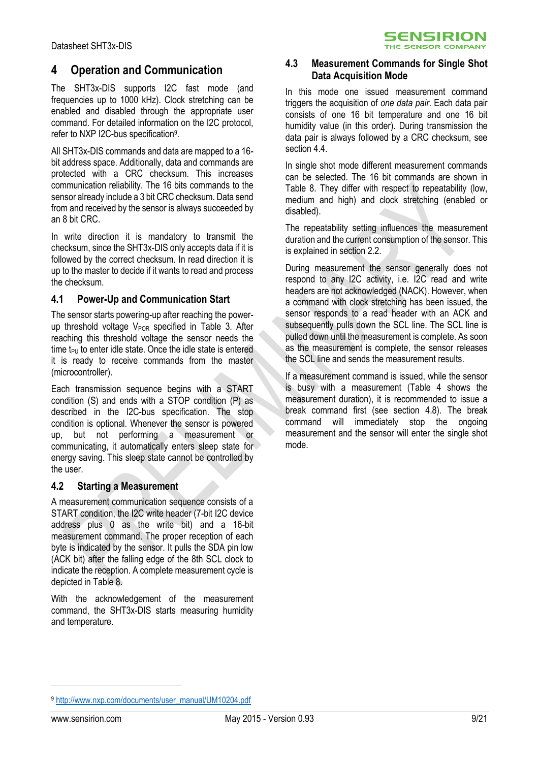# <span id="page-8-0"></span>**4 Operation and Communication**

The SHT3x-DIS supports I2C fast mode (and frequencies up to 1000 kHz). Clock stretching can be enabled and disabled through the appropriate user command. For detailed information on the I2C protocol, refer to NXP I2C-bus specification<sup>9</sup>.

All SHT3x-DIS commands and data are mapped to a 16 bit address space. Additionally, data and commands are protected with a CRC checksum. This increases communication reliability. The 16 bits commands to the sensor already include a 3 bit CRC checksum. Data send from and received by the sensor is always succeeded by an 8 bit CRC.

In write direction it is mandatory to transmit the checksum, since the SHT3x-DIS only accepts data if it is followed by the correct checksum. In read direction it is up to the master to decide if it wants to read and process the checksum.

#### **4.1 Power-Up and Communication Start**

The sensor starts powering-up after reaching the powerup threshold voltage  $V_{POR}$  specified in [Table 3.](#page-4-1) After reaching this threshold voltage the sensor needs the time  $t_{PU}$  to enter idle state. Once the idle state is entered it is ready to receive commands from the master (microcontroller).

Each transmission sequence begins with a START condition (S) and ends with a STOP condition (P) as described in the I2C-bus specification. The stop condition is optional. Whenever the sensor is powered up, but not performing a measurement or communicating, it automatically enters sleep state for energy saving. This sleep state cannot be controlled by the user.

#### **4.2 Starting a Measurement**

A measurement communication sequence consists of a START condition, the I2C write header (7-bit I2C device address plus 0 as the write bit) and a 16-bit measurement command. The proper reception of each byte is indicated by the sensor. It pulls the SDA pin low (ACK bit) after the falling edge of the 8th SCL clock to indicate the reception. A complete measurement cycle is depicted in [Table 8.](#page-9-0)

With the acknowledgement of the measurement command, the SHT3x-DIS starts measuring humidity and temperature.

#### **4.3 Measurement Commands for Single Shot Data Acquisition Mode**

**SENSIRION** THE SENSOR COMPANY

In this mode one issued measurement command triggers the acquisition of *one data pair*. Each data pair consists of one 16 bit temperature and one 16 bit humidity value (in this order). During transmission the data pair is always followed by a CRC checksum, see sectio[n 4.4.](#page-9-1)

<span id="page-8-1"></span>In single shot mode different measurement commands can be selected. The 16 bit commands are shown in [Table 8.](#page-9-0) They differ with respect to repeatability (low, medium and high) and clock stretching (enabled or disabled).

The repeatability setting influences the measurement duration and the current consumption of the sensor. This is explained in section [2.2.](#page-4-2)

During measurement the sensor generally does not respond to any I2C activity, i.e. I2C read and write headers are not acknowledged (NACK). However, when a command with clock stretching has been issued, the sensor responds to a read header with an ACK and subsequently pulls down the SCL line. The SCL line is pulled down until the measurement is complete. As soon as the measurement is complete, the sensor releases the SCL line and sends the measurement results.

If a measurement command is issued, while the sensor is busy with a measurement [\(Table 4](#page-4-3) shows the measurement duration), it is recommended to issue a break command first (see section [4.8\)](#page-11-0). The break command will immediately stop the ongoing measurement and the sensor will enter the single shot mode.

-

<sup>9</sup> [http://www.nxp.com/documents/user\\_manual/UM10204.pdf](http://www.nxp.com/documents/user_manual/UM10204.pdf)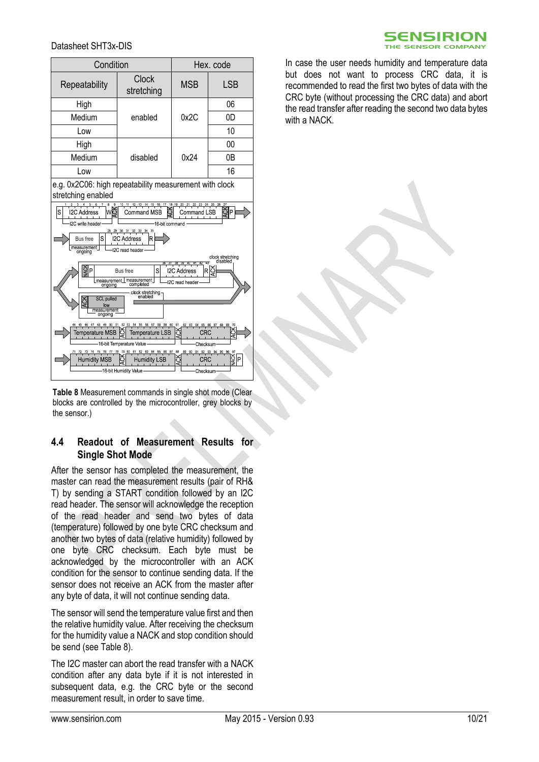Temperature MSB

Humidity MSB

16 bit Temperature Value

16-bit Humidity Value

| Condition                                                                                                                                                                                                                                                                                |                     | Hex. code  |            |  |  |
|------------------------------------------------------------------------------------------------------------------------------------------------------------------------------------------------------------------------------------------------------------------------------------------|---------------------|------------|------------|--|--|
| Repeatability                                                                                                                                                                                                                                                                            | Clock<br>stretching | <b>MSB</b> | <b>LSB</b> |  |  |
| High                                                                                                                                                                                                                                                                                     |                     | 0x2C       | 06         |  |  |
| Medium                                                                                                                                                                                                                                                                                   | enabled             |            | 0D         |  |  |
| Low                                                                                                                                                                                                                                                                                      |                     |            | 10         |  |  |
| High                                                                                                                                                                                                                                                                                     |                     |            | 00         |  |  |
| Medium                                                                                                                                                                                                                                                                                   | disabled            | 0x24       | 0Β         |  |  |
| Low                                                                                                                                                                                                                                                                                      |                     |            | 16         |  |  |
| e.g. 0x2C06: high repeatability measurement with clock<br>stretching enabled                                                                                                                                                                                                             |                     |            |            |  |  |
| $10$ 11<br>13<br>14<br>15<br>$16$ 17<br>18<br>19<br>w<br>S<br><b>I2C Address</b><br>P<br>Command LSB<br>Command MSB<br><b>I2C</b> write header<br>16 bit command<br>29 30 31 32 33 34 35<br>S<br><b>Bus</b> free<br><b>I2C Address</b><br>R<br>measurement<br>2C read header<br>ongoing  |                     |            |            |  |  |
| clock stretching<br>disabled<br>Z3<br>38 39 40 41 42<br>ĝP<br>S<br><b>Bus</b> free<br><b>I2C Address</b><br>R<br>measurement_measurement_<br>ongoing completed<br>-I2C read header<br>ongoing<br>clock stretching-<br>enabled<br><b>SCL pulled</b><br>Ř<br>low<br>measurement<br>ongoing |                     |            |            |  |  |

<span id="page-9-0"></span>**Table 8** Measurement commands in single shot mode (Clear blocks are controlled by the microcontroller, grey blocks by the sensor.)

Temperature LSB

**Humidity LSB** 

**CRC** 

**Checksur** 

.<br>CRC

.<br>Checksur

#### <span id="page-9-1"></span>**4.4 Readout of Measurement Results for Single Shot Mode**

After the sensor has completed the measurement, the master can read the measurement results (pair of RH& T) by sending a START condition followed by an I2C read header. The sensor will acknowledge the reception of the read header and send two bytes of data (temperature) followed by one byte CRC checksum and another two bytes of data (relative humidity) followed by one byte CRC checksum. Each byte must be acknowledged by the microcontroller with an ACK condition for the sensor to continue sending data. If the sensor does not receive an ACK from the master after any byte of data, it will not continue sending data.

The sensor will send the temperature value first and then the relative humidity value. After receiving the checksum for the humidity value a NACK and stop condition should be send (see [Table 8\)](#page-9-0).

The I2C master can abort the read transfer with a NACK condition after any data byte if it is not interested in subsequent data, e.g. the CRC byte or the second measurement result, in order to save time.



In case the user needs humidity and temperature data but does not want to process CRC data, it is recommended to read the first two bytes of data with the CRC byte (without processing the CRC data) and abort the read transfer after reading the second two data bytes with a NACK.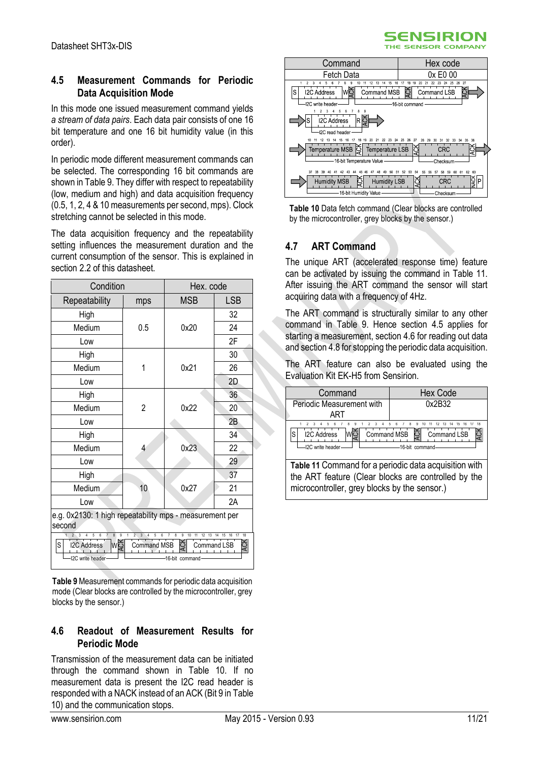### <span id="page-10-4"></span>**4.5 Measurement Commands for Periodic Data Acquisition Mode**

In this mode one issued measurement command yields *a stream of data pairs*. Each data pair consists of one 16 bit temperature and one 16 bit humidity value (in this order).

In periodic mode different measurement commands can be selected. The corresponding 16 bit commands are shown in [Table 9.](#page-10-1) They differ with respect to repeatability (low, medium and high) and data acquisition frequency (0.5, 1, 2, 4 & 10 measurements per second, mps). Clock stretching cannot be selected in this mode.

The data acquisition frequency and the repeatability setting influences the measurement duration and the current consumption of the sensor. This is explained in section [2.2](#page-4-2) of this datasheet.

| Condition                                                                                                                                                                                                                                                                                                                                   |     | Hex. code  |                 |  |
|---------------------------------------------------------------------------------------------------------------------------------------------------------------------------------------------------------------------------------------------------------------------------------------------------------------------------------------------|-----|------------|-----------------|--|
| Repeatability                                                                                                                                                                                                                                                                                                                               | mps | <b>MSB</b> | <b>LSB</b>      |  |
| High                                                                                                                                                                                                                                                                                                                                        |     |            | 32              |  |
| Medium                                                                                                                                                                                                                                                                                                                                      | 0.5 | 0x20       | 24              |  |
| Low                                                                                                                                                                                                                                                                                                                                         |     |            | 2F              |  |
| High                                                                                                                                                                                                                                                                                                                                        |     |            | 30              |  |
| Medium                                                                                                                                                                                                                                                                                                                                      | 1   | 0x21       | 26              |  |
| Low                                                                                                                                                                                                                                                                                                                                         |     |            | 2D              |  |
| High                                                                                                                                                                                                                                                                                                                                        |     |            | 36              |  |
| Medium                                                                                                                                                                                                                                                                                                                                      | 2   | 0x22       | 20 <sup>1</sup> |  |
| Low                                                                                                                                                                                                                                                                                                                                         |     |            | 2B              |  |
| High                                                                                                                                                                                                                                                                                                                                        |     |            | 34              |  |
| Medium                                                                                                                                                                                                                                                                                                                                      | 4   | 0x23       | 22              |  |
| Low                                                                                                                                                                                                                                                                                                                                         |     |            | 29              |  |
| High                                                                                                                                                                                                                                                                                                                                        |     |            | 37              |  |
| Medium                                                                                                                                                                                                                                                                                                                                      | 10  | 0x27       | 21              |  |
| Low                                                                                                                                                                                                                                                                                                                                         |     |            | 2A              |  |
| e.g. 0x2130: 1 high repeatability mps - measurement per<br>second                                                                                                                                                                                                                                                                           |     |            |                 |  |
| $\overline{3}$<br>8<br>$\overline{9}$<br>1<br>$\overline{2}$<br>$\sim$<br>4<br>5<br>6<br>7<br>$\overline{3}$<br>5<br>6<br>$\overline{7}$<br>8<br>9<br>17<br>18<br>4<br>10<br>11<br>12 13 14<br>15<br>16<br>wé<br>ACK<br>$\mathsf S$<br><b>I2C Address</b><br><b>Command MSB</b><br><b>Command LSB</b><br>I2C write header<br>16-bit command |     |            |                 |  |

<span id="page-10-1"></span>**Table 9**Measurement commands for periodic data acquisition mode (Clear blocks are controlled by the microcontroller, grey blocks by the sensor.)

#### <span id="page-10-5"></span>**4.6 Readout of Measurement Results for Periodic Mode**

Transmission of the measurement data can be initiated through the command shown in [Table 10.](#page-10-2) If no measurement data is present the I2C read header is responded with a NACK instead of an ACK (Bit 9 i[n Table](#page-10-2)  [10\)](#page-10-2) and the communication stops.



**SENSIRION** 

<span id="page-10-2"></span>

# <span id="page-10-0"></span>**4.7 ART Command**

The unique ART (accelerated response time) feature can be activated by issuing the command in [Table 11.](#page-10-3) After issuing the ART command the sensor will start acquiring data with a frequency of 4Hz.

The ART command is structurally similar to any other command in [Table 9.](#page-10-1) Hence section [4.5](#page-10-4) applies for starting a measurement, section [4.6](#page-10-5) for reading out data and sectio[n 4.8](#page-11-0) for stopping the periodic data acquisition.

The ART feature can also be evaluated using the Evaluation Kit EK-H5 from Sensirion.

<span id="page-10-3"></span>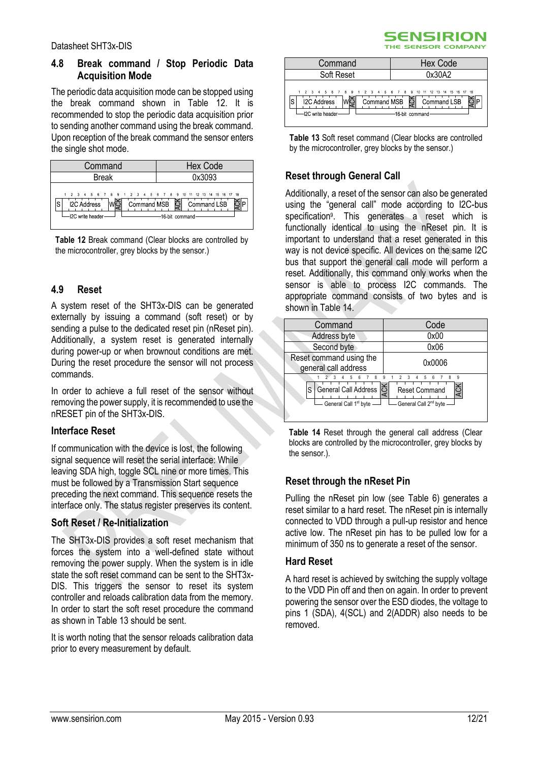## <span id="page-11-0"></span>**4.8 Break command / Stop Periodic Data Acquisition Mode**

The periodic data acquisition mode can be stopped using the break command shown in [Table 12.](#page-11-1) It is recommended to stop the periodic data acquisition prior to sending another command using the break command. Upon reception of the break command the sensor enters the single shot mode.

| Command                                                                                                        | <b>Hex Code</b>                               |
|----------------------------------------------------------------------------------------------------------------|-----------------------------------------------|
| <b>Break</b>                                                                                                   | 0x3093                                        |
| 1 2 3 4 5 6 7 8 9 1 2 3 4 5 6 7 8 9 10 11 12 13 14 15 16 17 18<br><b>I2C Address</b><br>S<br>-I2C write header | Command MSB S Command LSB<br>-16 bit command- |

<span id="page-11-1"></span>**Table 12** Break command (Clear blocks are controlled by the microcontroller, grey blocks by the sensor.)

#### **4.9 Reset**

A system reset of the SHT3x-DIS can be generated externally by issuing a command (soft reset) or by sending a pulse to the dedicated reset pin (nReset pin). Additionally, a system reset is generated internally during power-up or when brownout conditions are met. During the reset procedure the sensor will not process commands.

In order to achieve a full reset of the sensor without removing the power supply, it is recommended to use the nRESET pin of the SHT3x-DIS.

#### **Interface Reset**

If communication with the device is lost, the following signal sequence will reset the serial interface: While leaving SDA high, toggle SCL nine or more times. This must be followed by a Transmission Start sequence preceding the next command. This sequence resets the interface only. The status register preserves its content.

## **Soft Reset / Re-Initialization**

The SHT3x-DIS provides a soft reset mechanism that forces the system into a well-defined state without removing the power supply. When the system is in idle state the soft reset command can be sent to the SHT3x-DIS. This triggers the sensor to reset its system controller and reloads calibration data from the memory. In order to start the soft reset procedure the command as shown in [Table 13](#page-11-2) should be sent.

It is worth noting that the sensor reloads calibration data prior to every measurement by default.

#### **SENSIRION** THE SENSOR COMPANY

| Command                                                                                                         | <b>Hex Code</b>                              |
|-----------------------------------------------------------------------------------------------------------------|----------------------------------------------|
| Soft Reset                                                                                                      | 0x30A2                                       |
| 1 2 3 4 5 6 7 8 9 1 2 3 4 5 6 7 8 9 10 11 12 13 14 15 16 17 18<br>S<br><b>I2C Address</b><br>-I2C write header- | Command MSB S Command LSB<br>16-bit command- |

<span id="page-11-2"></span>**Table 13** Soft reset command (Clear blocks are controlled by the microcontroller, grey blocks by the sensor.)

## **Reset through General Call**

Additionally, a reset of the sensor can also be generated using the "general call" mode according to I2C-bus specificatio[n](#page-8-1)<sup>9</sup> . This generates a reset which is functionally identical to using the nReset pin. It is important to understand that a reset generated in this way is not device specific. All devices on the same I2C bus that support the general call mode will perform a reset. Additionally, this command only works when the sensor is able to process I2C commands. The appropriate command consists of two bytes and is shown i[n Table 14.](#page-11-3)

| Command                                                                  | Code                                                                                                            |  |  |
|--------------------------------------------------------------------------|-----------------------------------------------------------------------------------------------------------------|--|--|
| Address byte                                                             | 0x00                                                                                                            |  |  |
| Second byte                                                              | 0x06                                                                                                            |  |  |
| Reset command using the<br>general call address                          | 0x0006                                                                                                          |  |  |
| 8<br>5<br>General Call Address<br>S<br>General Call 1 <sup>st</sup> byte | 9<br>5<br>9<br>ĥ<br>$\overline{4}$<br><b>ACK</b><br><b>Reset Command</b><br>General Call 2 <sup>nd</sup> byte - |  |  |

<span id="page-11-3"></span>**Table 14** Reset through the general call address (Clear blocks are controlled by the microcontroller, grey blocks by the sensor.).

## **Reset through the nReset Pin**

Pulling the nReset pin low (see [Table 6\)](#page-6-1) generates a reset similar to a hard reset. The nReset pin is internally connected to VDD through a pull-up resistor and hence active low. The nReset pin has to be pulled low for a minimum of 350 ns to generate a reset of the sensor.

#### **Hard Reset**

A hard reset is achieved by switching the supply voltage to the VDD Pin off and then on again. In order to prevent powering the sensor over the ESD diodes, the voltage to pins 1 (SDA), 4(SCL) and 2(ADDR) also needs to be removed.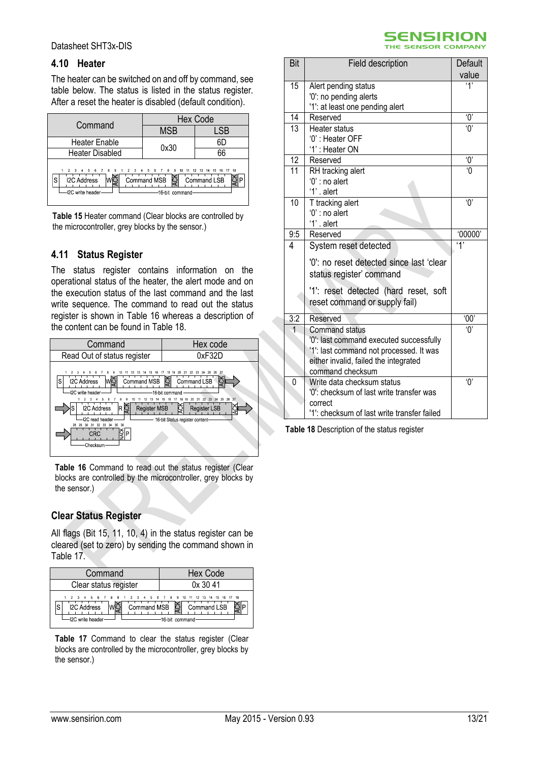#### **4.10 Heater**

The heater can be switched on and off by command, see table below. The status is listed in the status register. After a reset the heater is disabled (default condition).

| Command                                                                           | <b>Hex Code</b>                                                                     |             |  |  |
|-----------------------------------------------------------------------------------|-------------------------------------------------------------------------------------|-------------|--|--|
|                                                                                   | <b>MSB</b>                                                                          | LSB         |  |  |
| <b>Heater Enable</b>                                                              | 0x30                                                                                | 6D          |  |  |
| <b>Heater Disabled</b>                                                            |                                                                                     | 66          |  |  |
| 6 7 8 9<br>$2 \t3 \t4 \t5$<br><b>I2C Address</b><br>۰S<br><b>I2C</b> write header | 1 2 3 4 5 6 7 8 9 10 11 12 13 14 15 16 17 18<br>ㅎ<br>Command MSB<br>-16 bit command | Command LSB |  |  |

**Table 15** Heater command (Clear blocks are controlled by the microcontroller, grey blocks by the sensor.)

#### **4.11 Status Register**

The status register contains information on the operational status of the heater, the alert mode and on the execution status of the last command and the last write sequence. The command to read out the status register is shown in [Table 16](#page-12-0) whereas a description of the content can be found in [Table 18.](#page-12-1)

| Command                                                                 | Hex code                                                                                         |
|-------------------------------------------------------------------------|--------------------------------------------------------------------------------------------------|
| Read Out of status register                                             | 0xF32D                                                                                           |
| <b>I2C Address</b><br>Command MSB<br>S<br>WC<br><b>I2C</b> write header | 26<br>25<br>-27<br>Command LSB<br>16-bit command                                                 |
| RĎ<br><b>I2C Address</b><br><b>Register MSB</b><br>I2C read header      | 27<br>22 23 24 25 26<br>21<br>20<br><b>Register LSB</b><br>្ទ<br>16-bit Status register content- |
| 33<br>36<br>34<br>28<br>29<br>32<br>35<br>₿<br>lP.<br>CRC<br>Checksum   |                                                                                                  |

<span id="page-12-0"></span>**Table 16** Command to read out the status register (Clear blocks are controlled by the microcontroller, grey blocks by the sensor.)

## **Clear Status Register**

All flags (Bit 15, 11, 10, 4) in the status register can be cleared (set to zero) by sending the command shown in [Table 17.](#page-12-2)

| Command                                                                                                 | Hex Code                                  |
|---------------------------------------------------------------------------------------------------------|-------------------------------------------|
| Clear status register                                                                                   | 0x3041                                    |
| 2 3 4 5 6 7 8 9 1 2 3 4 5 6 7 8 9 10 11 12 13 14 15 16 17 18<br><b>I2C Address</b><br>-I2C write header | Command MSB Command LSB<br>16 hit command |

<span id="page-12-2"></span>Table 17 Command to clear the status register (Clear blocks are controlled by the microcontroller, grey blocks by the sensor.)



| value<br>$\mathbf{4}$<br>15<br>Alert pending status<br>'0': no pending alerts<br>'1': at least one pending alert<br>14<br>$^{\prime}0^{\prime}$<br>Reserved<br>13<br>$\overline{0}$<br>Heater status<br>'0': Heater OFF<br>'1': Heater ON<br>12<br>ʹΟ,<br>Reserved<br>$\overline{11}$<br>$\Omega$<br>RH tracking alert<br>$0$ ': no alert<br>'1'. alert<br>10<br>ʹΟ,<br>T tracking alert<br>$0$ ': no alert<br>'1' alert<br>9:5<br>'00000'<br>Reserved<br>4'<br>4<br>System reset detected<br>'0': no reset detected since last 'clear<br>status register' command<br>'1': reset detected (hard reset, soft<br>reset command or supply fail)<br>3:2<br>Reserved<br>'00'<br>$^{\prime}$<br><b>Command status</b><br>'0': last command executed successfully<br>'1': last command not processed. It was<br>either invalid, failed the integrated<br>command checksum<br>$^{\prime}$ () $^{\prime}$<br>0<br>Write data checksum status<br>'0': checksum of last write transfer was<br>correct | Bit | Field description                           | Default |
|--------------------------------------------------------------------------------------------------------------------------------------------------------------------------------------------------------------------------------------------------------------------------------------------------------------------------------------------------------------------------------------------------------------------------------------------------------------------------------------------------------------------------------------------------------------------------------------------------------------------------------------------------------------------------------------------------------------------------------------------------------------------------------------------------------------------------------------------------------------------------------------------------------------------------------------------------------------------------------------------|-----|---------------------------------------------|---------|
|                                                                                                                                                                                                                                                                                                                                                                                                                                                                                                                                                                                                                                                                                                                                                                                                                                                                                                                                                                                            |     |                                             |         |
|                                                                                                                                                                                                                                                                                                                                                                                                                                                                                                                                                                                                                                                                                                                                                                                                                                                                                                                                                                                            |     |                                             |         |
|                                                                                                                                                                                                                                                                                                                                                                                                                                                                                                                                                                                                                                                                                                                                                                                                                                                                                                                                                                                            |     |                                             |         |
|                                                                                                                                                                                                                                                                                                                                                                                                                                                                                                                                                                                                                                                                                                                                                                                                                                                                                                                                                                                            |     |                                             |         |
|                                                                                                                                                                                                                                                                                                                                                                                                                                                                                                                                                                                                                                                                                                                                                                                                                                                                                                                                                                                            |     |                                             |         |
|                                                                                                                                                                                                                                                                                                                                                                                                                                                                                                                                                                                                                                                                                                                                                                                                                                                                                                                                                                                            |     |                                             |         |
|                                                                                                                                                                                                                                                                                                                                                                                                                                                                                                                                                                                                                                                                                                                                                                                                                                                                                                                                                                                            |     |                                             |         |
|                                                                                                                                                                                                                                                                                                                                                                                                                                                                                                                                                                                                                                                                                                                                                                                                                                                                                                                                                                                            |     |                                             |         |
|                                                                                                                                                                                                                                                                                                                                                                                                                                                                                                                                                                                                                                                                                                                                                                                                                                                                                                                                                                                            |     |                                             |         |
|                                                                                                                                                                                                                                                                                                                                                                                                                                                                                                                                                                                                                                                                                                                                                                                                                                                                                                                                                                                            |     |                                             |         |
|                                                                                                                                                                                                                                                                                                                                                                                                                                                                                                                                                                                                                                                                                                                                                                                                                                                                                                                                                                                            |     |                                             |         |
|                                                                                                                                                                                                                                                                                                                                                                                                                                                                                                                                                                                                                                                                                                                                                                                                                                                                                                                                                                                            |     |                                             |         |
|                                                                                                                                                                                                                                                                                                                                                                                                                                                                                                                                                                                                                                                                                                                                                                                                                                                                                                                                                                                            |     |                                             |         |
|                                                                                                                                                                                                                                                                                                                                                                                                                                                                                                                                                                                                                                                                                                                                                                                                                                                                                                                                                                                            |     |                                             |         |
|                                                                                                                                                                                                                                                                                                                                                                                                                                                                                                                                                                                                                                                                                                                                                                                                                                                                                                                                                                                            |     |                                             |         |
|                                                                                                                                                                                                                                                                                                                                                                                                                                                                                                                                                                                                                                                                                                                                                                                                                                                                                                                                                                                            |     |                                             |         |
|                                                                                                                                                                                                                                                                                                                                                                                                                                                                                                                                                                                                                                                                                                                                                                                                                                                                                                                                                                                            |     |                                             |         |
|                                                                                                                                                                                                                                                                                                                                                                                                                                                                                                                                                                                                                                                                                                                                                                                                                                                                                                                                                                                            |     |                                             |         |
|                                                                                                                                                                                                                                                                                                                                                                                                                                                                                                                                                                                                                                                                                                                                                                                                                                                                                                                                                                                            |     |                                             |         |
|                                                                                                                                                                                                                                                                                                                                                                                                                                                                                                                                                                                                                                                                                                                                                                                                                                                                                                                                                                                            |     |                                             |         |
|                                                                                                                                                                                                                                                                                                                                                                                                                                                                                                                                                                                                                                                                                                                                                                                                                                                                                                                                                                                            |     |                                             |         |
|                                                                                                                                                                                                                                                                                                                                                                                                                                                                                                                                                                                                                                                                                                                                                                                                                                                                                                                                                                                            |     |                                             |         |
|                                                                                                                                                                                                                                                                                                                                                                                                                                                                                                                                                                                                                                                                                                                                                                                                                                                                                                                                                                                            |     |                                             |         |
|                                                                                                                                                                                                                                                                                                                                                                                                                                                                                                                                                                                                                                                                                                                                                                                                                                                                                                                                                                                            |     |                                             |         |
|                                                                                                                                                                                                                                                                                                                                                                                                                                                                                                                                                                                                                                                                                                                                                                                                                                                                                                                                                                                            |     |                                             |         |
|                                                                                                                                                                                                                                                                                                                                                                                                                                                                                                                                                                                                                                                                                                                                                                                                                                                                                                                                                                                            |     |                                             |         |
|                                                                                                                                                                                                                                                                                                                                                                                                                                                                                                                                                                                                                                                                                                                                                                                                                                                                                                                                                                                            |     |                                             |         |
|                                                                                                                                                                                                                                                                                                                                                                                                                                                                                                                                                                                                                                                                                                                                                                                                                                                                                                                                                                                            |     |                                             |         |
|                                                                                                                                                                                                                                                                                                                                                                                                                                                                                                                                                                                                                                                                                                                                                                                                                                                                                                                                                                                            |     |                                             |         |
|                                                                                                                                                                                                                                                                                                                                                                                                                                                                                                                                                                                                                                                                                                                                                                                                                                                                                                                                                                                            |     |                                             |         |
|                                                                                                                                                                                                                                                                                                                                                                                                                                                                                                                                                                                                                                                                                                                                                                                                                                                                                                                                                                                            |     | '1': checksum of last write transfer failed |         |

<span id="page-12-1"></span>**Table 18** Description of the status register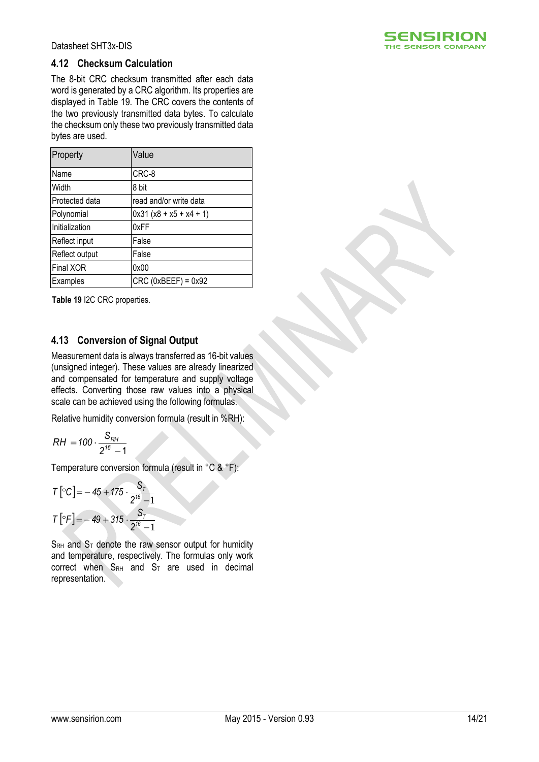

#### **4.12 Checksum Calculation**

The 8-bit CRC checksum transmitted after each data word is generated by a CRC algorithm. Its properties are displayed in [Table 19.](#page-13-0) The CRC covers the contents of the two previously transmitted data bytes. To calculate the checksum only these two previously transmitted data bytes are used.

| Property         | Value                    |
|------------------|--------------------------|
| Name             | CRC-8                    |
| Width            | 8 bit                    |
| Protected data   | read and/or write data   |
| Polynomial       | $0x31(x8 + x5 + x4 + 1)$ |
| Initialization   | 0xFF                     |
| Reflect input    | False                    |
| Reflect output   | False                    |
| <b>Final XOR</b> | 0x00                     |
| Examples         | $CRC$ (0xBEEF) = 0x92    |

<span id="page-13-0"></span>**Table 19** I2C CRC properties.

#### **4.13 Conversion of Signal Output**

Measurement data is always transferred as 16-bit values (unsigned integer). These values are already linearized and compensated for temperature and supply voltage effects. Converting those raw values into a physical scale can be achieved using the following formulas.

Relative humidity conversion formula (result in %RH):

$$
RH = 100 \cdot \frac{S_{RH}}{2^{16} - 1}
$$

Temperature conversion formula (result in °C & °F):

$$
T\left[ {}^{\circ}C \right] = -45 + 175 \cdot \frac{S_T}{2^{16} - 1}
$$

$$
T\left[ {}^{\circ}F \right] = -49 + 315 \cdot \frac{S_T}{2^{16} - 1}
$$

 $S_{RH}$  and  $S_T$  denote the raw sensor output for humidity and temperature, respectively. The formulas only work correct when  $S_{RH}$  and  $S_T$  are used in decimal representation.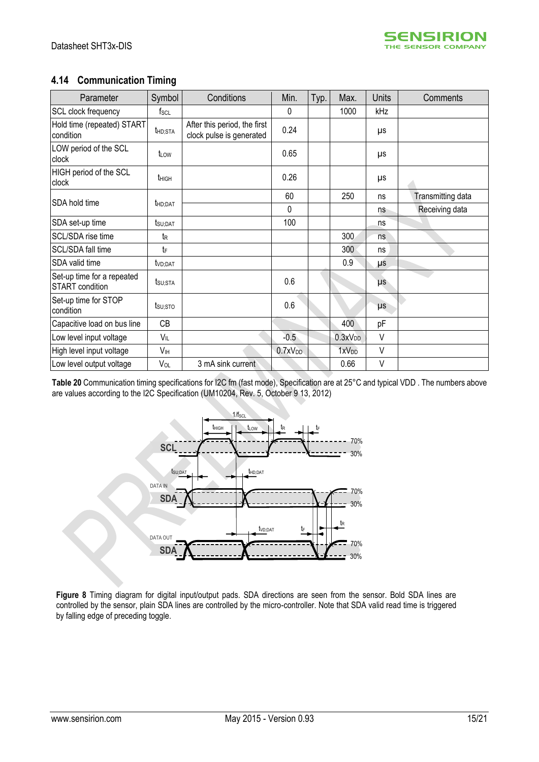# **4.14 Communication Timing**

| Parameter                                            | Symbol              | Conditions                                               | Min.                | Typ. | Max.                | <b>Units</b> | Comments          |
|------------------------------------------------------|---------------------|----------------------------------------------------------|---------------------|------|---------------------|--------------|-------------------|
| SCL clock frequency                                  | $f_{\mathsf{SCL}}$  |                                                          | $\mathbf 0$         |      | 1000                | kHz          |                   |
| Hold time (repeated) START<br>condition              | thd;sta             | After this period, the first<br>clock pulse is generated | 0.24                |      |                     | μs           |                   |
| LOW period of the SCL<br>clock                       | t <sub>LOW</sub>    |                                                          | 0.65                |      |                     | μs           |                   |
| HIGH period of the SCL<br>clock                      | t <sub>HIGH</sub>   |                                                          | 0.26                |      |                     | μs           |                   |
| SDA hold time                                        |                     |                                                          | 60                  |      | 250                 | ns           | Transmitting data |
|                                                      | <b>t</b> HD:DAT     |                                                          | 0                   |      |                     | ns           | Receiving data    |
| SDA set-up time                                      | t <sub>SU;DAT</sub> |                                                          | 100                 |      |                     | ns           |                   |
| SCL/SDA rise time                                    | t <sub>R</sub>      |                                                          |                     |      | 300                 | ns           |                   |
| SCL/SDA fall time                                    | tF                  |                                                          |                     |      | 300                 | ns           |                   |
| SDA valid time                                       | t <sub>VD;DAT</sub> |                                                          |                     |      | 0.9                 | μs           |                   |
| Set-up time for a repeated<br><b>START</b> condition | tsu;sta             |                                                          | 0.6                 |      |                     | $\mu s$      |                   |
| Set-up time for STOP<br>condition                    | $t_{\text{SU;STO}}$ |                                                          | 0.6                 |      |                     | μs           |                   |
| Capacitive load on bus line                          | CB                  |                                                          |                     |      | 400                 | pF           |                   |
| Low level input voltage                              | $V_{IL}$            |                                                          | $-0.5$              |      | 0.3xV <sub>DD</sub> | $\vee$       |                   |
| High level input voltage                             | VIH                 |                                                          | 0.7xV <sub>DD</sub> |      | 1xV <sub>DD</sub>   | $\vee$       |                   |
| Low level output voltage                             | VOL                 | 3 mA sink current                                        |                     |      | 0.66                | $\vee$       |                   |

**Table 20** Communication timing specifications for I2C fm (fast mode), Specification are at 25°C and typical VDD . The numbers above are values according to the I2C Specification (UM10204, Rev. 5, October 9 13, 2012)



**Figure 8** Timing diagram for digital input/output pads. SDA directions are seen from the sensor. Bold SDA lines are controlled by the sensor, plain SDA lines are controlled by the micro-controller. Note that SDA valid read time is triggered by falling edge of preceding toggle.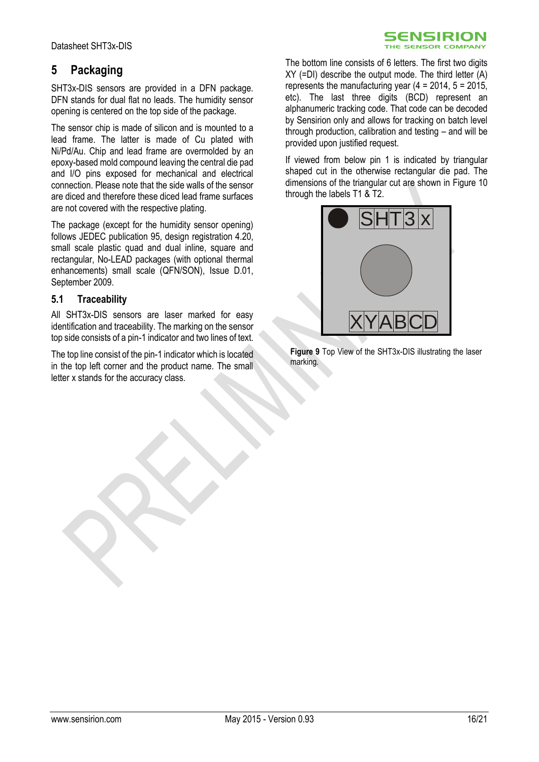# <span id="page-15-0"></span>**5 Packaging**

SHT3x-DIS sensors are provided in a DFN package. DFN stands for dual flat no leads. The humidity sensor opening is centered on the top side of the package.

The sensor chip is made of silicon and is mounted to a lead frame. The latter is made of Cu plated with Ni/Pd/Au. Chip and lead frame are overmolded by an epoxy-based mold compound leaving the central die pad and I/O pins exposed for mechanical and electrical connection. Please note that the side walls of the sensor are diced and therefore these diced lead frame surfaces are not covered with the respective plating.

The package (except for the humidity sensor opening) follows JEDEC publication 95, design registration 4.20, small scale plastic quad and dual inline, square and rectangular, No-LEAD packages (with optional thermal enhancements) small scale (QFN/SON), Issue D.01, September 2009.

## **5.1 Traceability**

All SHT3x-DIS sensors are laser marked for easy identification and traceability. The marking on the sensor top side consists of a pin-1 indicator and two lines of text.

The top line consist of the pin-1 indicator which is located in the top left corner and the product name. The small letter x stands for the accuracy class.

The bottom line consists of 6 letters. The first two digits XY (=DI) describe the output mode. The third letter (A) represents the manufacturing year  $(4 = 2014, 5 = 2015)$ , etc). The last three digits (BCD) represent an alphanumeric tracking code. That code can be decoded by Sensirion only and allows for tracking on batch level through production, calibration and testing – and will be provided upon justified request.

SENSIRION THE SENSOR COMPANY

If viewed from below pin 1 is indicated by triangular shaped cut in the otherwise rectangular die pad. The dimensions of the triangular cut are shown in [Figure 10](#page-16-0) through the labels T1 & T2.



**Figure 9** Top View of the SHT3x-DIS illustrating the laser marking.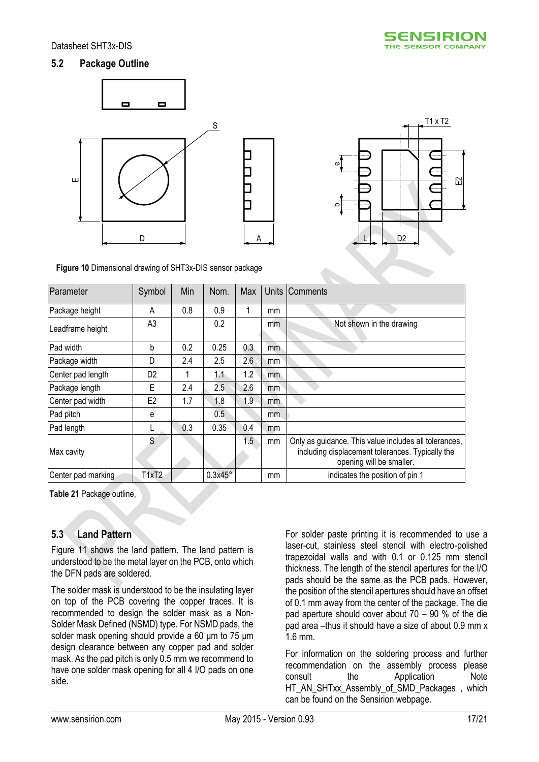## **5.2 Package Outline**





<span id="page-16-0"></span>**Figure 10** Dimensional drawing of SHT3x-DIS sensor package

| Parameter          | Symbol         | Min | Nom.           | Max |     | Units Comments                                                                                                                        |
|--------------------|----------------|-----|----------------|-----|-----|---------------------------------------------------------------------------------------------------------------------------------------|
| Package height     | A              | 0.8 | 0.9            | 1   | mm  |                                                                                                                                       |
| Leadframe height   | A <sub>3</sub> |     | 0.2            |     | mm  | Not shown in the drawing                                                                                                              |
| Pad width          | b              | 0.2 | 0.25           | 0.3 | mm  |                                                                                                                                       |
| Package width      | D              | 2.4 | 2.5            | 2.6 | mm  |                                                                                                                                       |
| Center pad length  | D <sub>2</sub> |     | 1.1            | 1.2 | mm. |                                                                                                                                       |
| Package length     | Е              | 2.4 | 2.5            | 2.6 | mm  |                                                                                                                                       |
| Center pad width   | E <sub>2</sub> | 1.7 | 1.8            | 1.9 | mm  |                                                                                                                                       |
| Pad pitch          | е              |     | 0.5            |     | mm. |                                                                                                                                       |
| Pad length         |                | 0.3 | 0.35           | 0.4 | mm  |                                                                                                                                       |
| Max cavity         | S              |     |                | 1.5 | mm  | Only as guidance. This value includes all tolerances,<br>including displacement tolerances. Typically the<br>opening will be smaller. |
| Center pad marking | T1xT2          |     | $0.3x45^\circ$ |     | mm  | indicates the position of pin 1                                                                                                       |

**Table 21** Package outline,

## **5.3 Land Pattern**

[Figure 11](#page-17-1) shows the land pattern. The land pattern is understood to be the metal layer on the PCB, onto which the DFN pads are soldered.

The solder mask is understood to be the insulating layer on top of the PCB covering the copper traces. It is recommended to design the solder mask as a Non-Solder Mask Defined (NSMD) type. For NSMD pads, the solder mask opening should provide a 60 μm to 75 μm design clearance between any copper pad and solder mask. As the pad pitch is only 0.5 mm we recommend to have one solder mask opening for all 4 I/O pads on one side.

For solder paste printing it is recommended to use a laser-cut, stainless steel stencil with electro-polished trapezoidal walls and with 0.1 or 0.125 mm stencil thickness. The length of the stencil apertures for the I/O pads should be the same as the PCB pads. However, the position of the stencil apertures should have an offset of 0.1 mm away from the center of the package. The die pad aperture should cover about 70 – 90 % of the die pad area –thus it should have a size of about 0.9 mm x 1.6 mm.

For information on the soldering process and further recommendation on the assembly process please consult the Application Note HT\_AN\_SHTxx\_Assembly\_of\_SMD\_Packages , which can be found on the Sensirion webpage.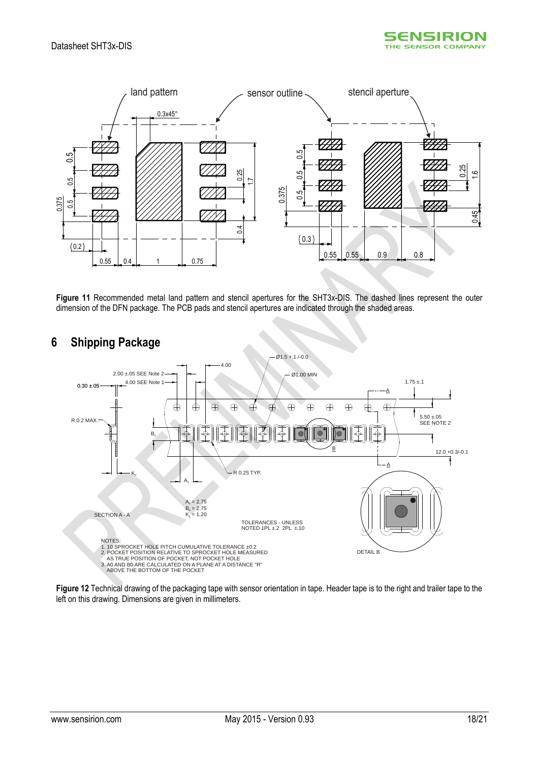



<span id="page-17-1"></span>**Figure 11** Recommended metal land pattern and stencil apertures for the SHT3x-DIS. The dashed lines represent the outer dimension of the DFN package. The PCB pads and stencil apertures are indicated through the shaded areas.



# <span id="page-17-0"></span>**6 Shipping Package**

**Figure 12** Technical drawing of the packaging tape with sensor orientation in tape. Header tape is to the right and trailer tape to the left on this drawing. Dimensions are given in millimeters.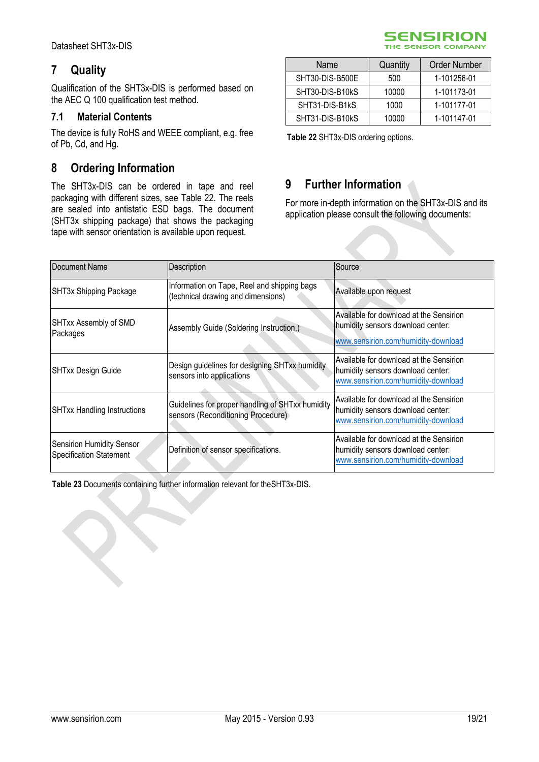# <span id="page-18-0"></span>**7 Quality**

Qualification of the SHT3x-DIS is performed based on the AEC Q 100 qualification test method.

## **7.1 Material Contents**

The device is fully RoHS and WEEE compliant, e.g. free of Pb, Cd, and Hg.

# <span id="page-18-1"></span>**8 Ordering Information**

The SHT3x-DIS can be ordered in tape and reel packaging with different sizes, see [Table 22.](#page-18-3) The reels are sealed into antistatic ESD bags. The document (SHT3x shipping package) that shows the packaging tape with sensor orientation is available upon request.

| Name            | Quantity | Order Number |
|-----------------|----------|--------------|
| SHT30-DIS-B500E | 500      | 1-101256-01  |
| SHT30-DIS-B10kS | 10000    | 1-101173-01  |
| SHT31-DIS-B1kS  | 1000     | 1-101177-01  |
| SHT31-DIS-B10kS | 10000    | 1-101147-01  |

**SENSIRION** THE SENSOR COMPANY

<span id="page-18-3"></span>**Table 22** SHT3x-DIS ordering options.

# <span id="page-18-2"></span>**9 Further Information**

For more in-depth information on the SHT3x-DIS and its application please consult the following documents:

| Document Name                                                      | Description                                                                            | Source                                                                                                              |
|--------------------------------------------------------------------|----------------------------------------------------------------------------------------|---------------------------------------------------------------------------------------------------------------------|
| SHT3x Shipping Package                                             | Information on Tape, Reel and shipping bags<br>(technical drawing and dimensions)      | Available upon request                                                                                              |
| SHTxx Assembly of SMD<br>Packages                                  | Assembly Guide (Soldering Instruction,)                                                | Available for download at the Sensirion<br>humidity sensors download center:<br>www.sensirion.com/humidity-download |
| <b>SHTxx Design Guide</b>                                          | Design guidelines for designing SHTxx humidity<br>sensors into applications            | Available for download at the Sensirion<br>humidity sensors download center:<br>www.sensirion.com/humidity-download |
| <b>SHTxx Handling Instructions</b>                                 | Guidelines for proper handling of SHTxx humidity<br>sensors (Reconditioning Procedure) | Available for download at the Sensirion<br>humidity sensors download center:<br>www.sensirion.com/humidity-download |
| <b>Sensirion Humidity Sensor</b><br><b>Specification Statement</b> | Definition of sensor specifications.                                                   | Available for download at the Sensirion<br>humidity sensors download center:<br>www.sensirion.com/humidity-download |

**Table 23** Documents containing further information relevant for theSHT3x-DIS.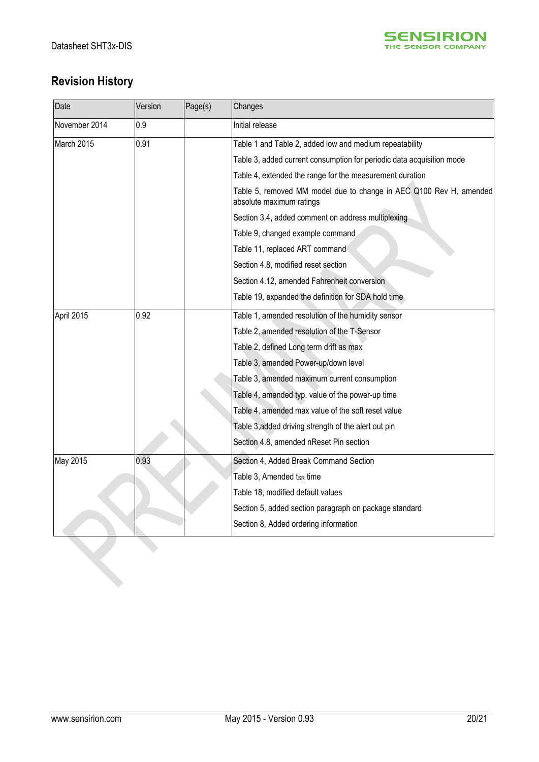

# **Revision History**

| Date          | Version | Page(s)                                     | Changes                                                                                        |
|---------------|---------|---------------------------------------------|------------------------------------------------------------------------------------------------|
| November 2014 | 0.9     |                                             | Initial release                                                                                |
| March 2015    | 0.91    |                                             | Table 1 and Table 2, added low and medium repeatability                                        |
|               |         |                                             | Table 3, added current consumption for periodic data acquisition mode                          |
|               |         |                                             | Table 4, extended the range for the measurement duration                                       |
|               |         |                                             | Table 5, removed MM model due to change in AEC Q100 Rev H, amended<br>absolute maximum ratings |
|               |         |                                             | Section 3.4, added comment on address multiplexing                                             |
|               |         |                                             | Table 9, changed example command                                                               |
|               |         |                                             | Table 11, replaced ART command                                                                 |
|               |         |                                             | Section 4.8, modified reset section                                                            |
|               |         |                                             | Section 4.12, amended Fahrenheit conversion                                                    |
|               |         |                                             | Table 19, expanded the definition for SDA hold time                                            |
| April 2015    | 0.92    |                                             | Table 1, amended resolution of the humidity sensor                                             |
|               |         | Table 2, amended resolution of the T-Sensor |                                                                                                |
|               |         |                                             | Table 2, defined Long term drift as max                                                        |
|               |         |                                             | Table 3, amended Power-up/down level                                                           |
|               |         |                                             | Table 3, amended maximum current consumption                                                   |
|               |         |                                             | Table 4, amended typ. value of the power-up time                                               |
|               |         |                                             | Table 4, amended max value of the soft reset value                                             |
|               |         |                                             | Table 3, added driving strength of the alert out pin                                           |
|               |         |                                             | Section 4.8, amended nReset Pin section                                                        |
| May 2015      | 0.93    |                                             | Section 4, Added Break Command Section                                                         |
|               |         |                                             | Table 3, Amended tsR time                                                                      |
|               |         |                                             | Table 18, modified default values                                                              |
|               |         |                                             | Section 5, added section paragraph on package standard                                         |
|               |         |                                             | Section 8, Added ordering information                                                          |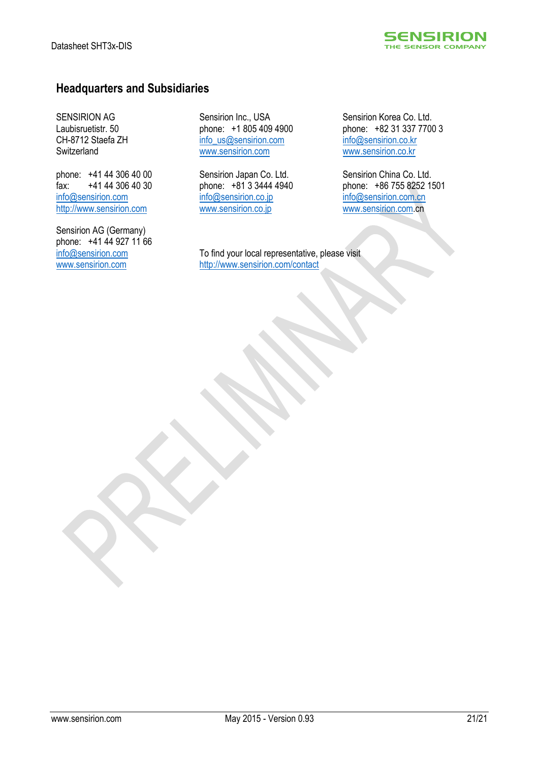

# **Headquarters and Subsidiaries**

SENSIRION AG Laubisruetistr. 50 CH-8712 Staefa ZH Switzerland

phone: +41 44 306 40 00 fax: +41 44 306 40 30 [info@sensirion.com](mailto:info@sensirion.com) [http://www.sensirion.com](http://www.sensirion.com/)

Sensirion AG (Germany) phone: +41 44 927 11 66 [info@sensirion.com](mailto:info@sensirion.com) [www.sensirion.com](http://www.sensirion.com/)

Sensirion Inc., USA phone: +1 805 409 4900 [info\\_us@sensirion.com](mailto:info_us@sensirion.com) [www.sensirion.com](http://www.sensirion.com/)

Sensirion Japan Co. Ltd. phone: +81 3 3444 4940 [info@sensirion.co.jp](mailto:info@sensirion.co.jp) [www.sensirion.co.jp](http://www.sensirion.co.jp/)

To find your local representative, please visit <http://www.sensirion.com/contact>

Sensirion Korea Co. Ltd. phone: +82 31 337 7700 3 [info@sensirion.co.kr](mailto:info@sensirion.co.kr) [www.sensirion.co.kr](http://www.sensirion.co.kr/)

Sensirion China Co. Ltd. phone: +86 755 8252 1501 [info@sensirion.com.cn](mailto:info@sensirion.com.cn) [www.sensirion.com.c](http://www.sensirion.com/)n